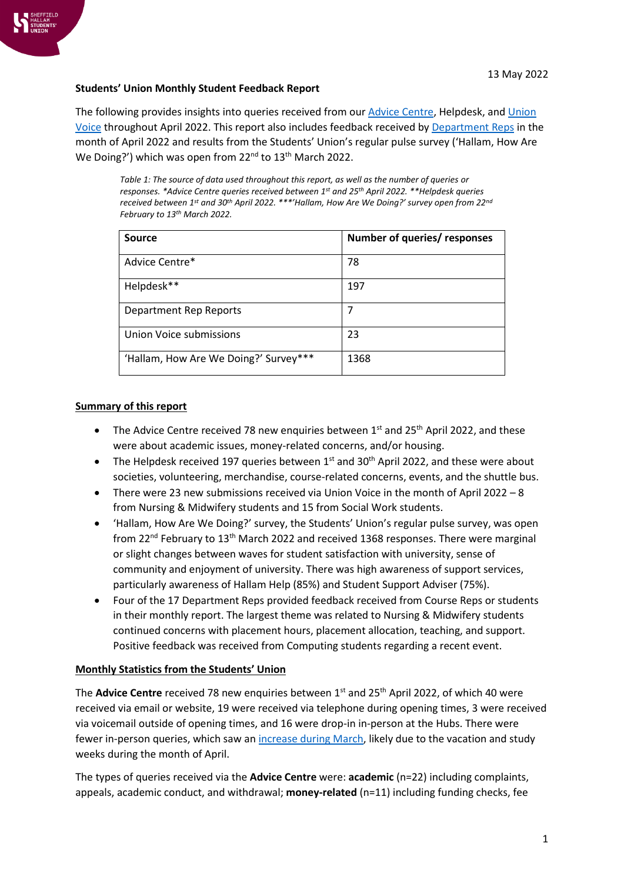

### **Students' Union Monthly Student Feedback Report**

The following provides insights into queries received from ou[r Advice Centre,](https://www.hallamstudentsunion.com/advice_help/) Helpdesk, and [Union](https://www.hallamstudentsunion.com/representation/research/union-voice/)  [Voice](https://www.hallamstudentsunion.com/representation/research/union-voice/) throughout April 2022. This report also includes feedback received by [Department Reps](https://www.hallamstudentsunion.com/representation/academicinterests/departmentreps/) in the month of April 2022 and results from the Students' Union's regular pulse survey ('Hallam, How Are We Doing?') which was open from 22<sup>nd</sup> to 13<sup>th</sup> March 2022.

*Table 1: The source of data used throughout this report, as well as the number of queries or responses. \*Advice Centre queries received between 1 st and 25th April 2022. \*\*Helpdesk queries received between 1 st and 30th April 2022. \*\*\*'Hallam, How Are We Doing?' survey open from 22nd February to 13th March 2022.*

| Source                                | Number of queries/ responses |
|---------------------------------------|------------------------------|
| Advice Centre*                        | 78                           |
| Helpdesk**                            | 197                          |
| <b>Department Rep Reports</b>         | 7                            |
| Union Voice submissions               | 23                           |
| 'Hallam, How Are We Doing?' Survey*** | 1368                         |

### **Summary of this report**

- The Advice Centre received 78 new enquiries between  $1<sup>st</sup>$  and  $25<sup>th</sup>$  April 2022, and these were about academic issues, money-related concerns, and/or housing.
- The Helpdesk received 197 queries between  $1^{st}$  and 30<sup>th</sup> April 2022, and these were about societies, volunteering, merchandise, course-related concerns, events, and the shuttle bus.
- There were 23 new submissions received via Union Voice in the month of April 2022 8 from Nursing & Midwifery students and 15 from Social Work students.
- 'Hallam, How Are We Doing?' survey, the Students' Union's regular pulse survey, was open from 22nd February to 13th March 2022 and received 1368 responses. There were marginal or slight changes between waves for student satisfaction with university, sense of community and enjoyment of university. There was high awareness of support services, particularly awareness of Hallam Help (85%) and Student Support Adviser (75%).
- Four of the 17 Department Reps provided feedback received from Course Reps or students in their monthly report. The largest theme was related to Nursing & Midwifery students continued concerns with placement hours, placement allocation, teaching, and support. Positive feedback was received from Computing students regarding a recent event.

# **Monthly Statistics from the Students' Union**

The **Advice Centre** received 78 new enquiries between 1<sup>st</sup> and 25<sup>th</sup> April 2022, of which 40 were received via email or website, 19 were received via telephone during opening times, 3 were received via voicemail outside of opening times, and 16 were drop-in in-person at the Hubs. There were fewer in-person queries, which saw a[n increase during March,](https://www.hallamstudentsunion.com/pageassets/representation/research/SHSU-Monthly-Student-Feedback-Report-March-2022(1).pdf) likely due to the vacation and study weeks during the month of April.

The types of queries received via the **Advice Centre** were: **academic** (n=22) including complaints, appeals, academic conduct, and withdrawal; **money-related** (n=11) including funding checks, fee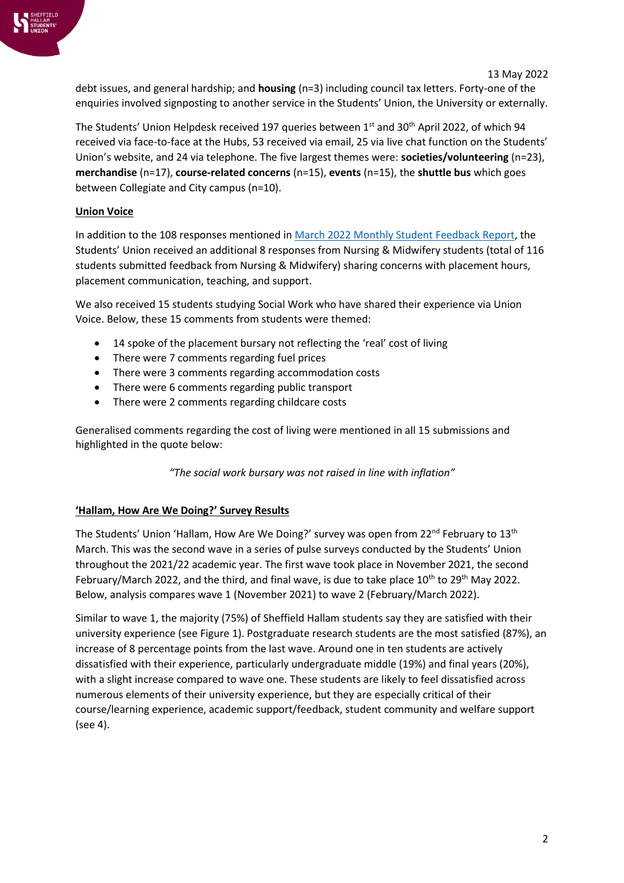

debt issues, and general hardship; and **housing** (n=3) including council tax letters. Forty-one of the enquiries involved signposting to another service in the Students' Union, the University or externally.

The Students' Union Helpdesk received 197 queries between 1<sup>st</sup> and 30<sup>th</sup> April 2022, of which 94 received via face-to-face at the Hubs, 53 received via email, 25 via live chat function on the Students' Union's website, and 24 via telephone. The five largest themes were: **societies/volunteering** (n=23), **merchandise** (n=17), **course-related concerns** (n=15), **events** (n=15), the **shuttle bus** which goes between Collegiate and City campus (n=10).

# **Union Voice**

In addition to the 108 responses mentioned in [March 2022 Monthly Student Feedback Report,](https://www.hallamstudentsunion.com/pageassets/representation/research/SHSU-Monthly-Student-Feedback-Report-March-2022(1).pdf) the Students' Union received an additional 8 responses from Nursing & Midwifery students (total of 116 students submitted feedback from Nursing & Midwifery) sharing concerns with placement hours, placement communication, teaching, and support.

We also received 15 students studying Social Work who have shared their experience via Union Voice. Below, these 15 comments from students were themed:

- 14 spoke of the placement bursary not reflecting the 'real' cost of living
- There were 7 comments regarding fuel prices
- There were 3 comments regarding accommodation costs
- There were 6 comments regarding public transport
- There were 2 comments regarding childcare costs

Generalised comments regarding the cost of living were mentioned in all 15 submissions and highlighted in the quote below:

*"The social work bursary was not raised in line with inflation"*

# **'Hallam, How Are We Doing?' Survey Results**

The Students' Union 'Hallam, How Are We Doing?' survey was open from 22<sup>nd</sup> February to 13<sup>th</sup> March. This was the second wave in a series of pulse surveys conducted by the Students' Union throughout the 2021/22 academic year. The first wave took place in November 2021, the second February/March 2022, and the third, and final wave, is due to take place 10<sup>th</sup> to 29<sup>th</sup> May 2022. Below, analysis compares wave 1 (November 2021) to wave 2 (February/March 2022).

Similar to wave 1, the majority (75%) of Sheffield Hallam students say they are satisfied with their university experience (see [Figure 1\)](#page-2-0). Postgraduate research students are the most satisfied (87%), an increase of 8 percentage points from the last wave. Around one in ten students are actively dissatisfied with their experience, particularly undergraduate middle (19%) and final years (20%), with a slight increase compared to wave one. These students are likely to feel dissatisfied across numerous elements of their university experience, but they are especially critical of their course/learning experience, academic support/feedback, student community and welfare support (see 4).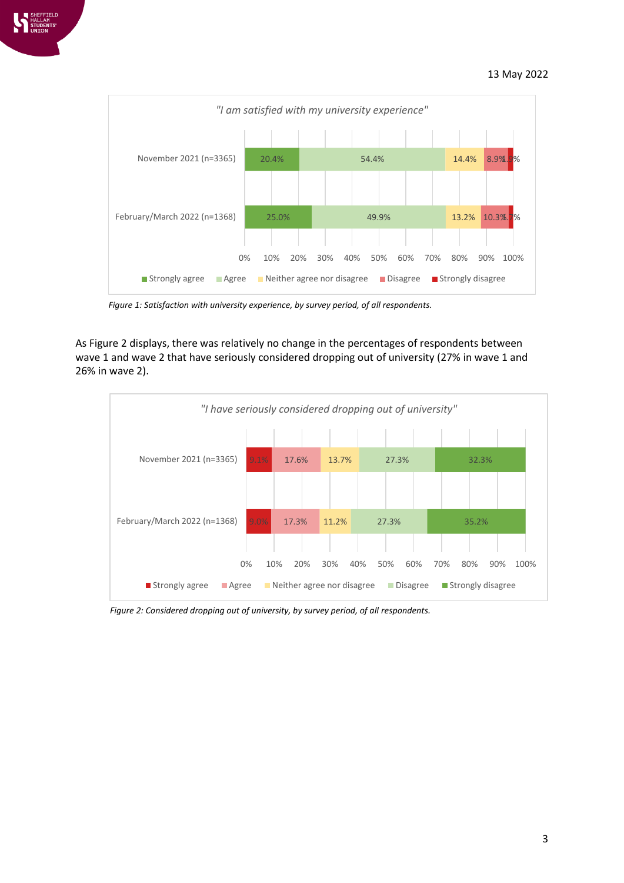

<span id="page-2-0"></span>*Figure 1: Satisfaction with university experience, by survey period, of all respondents.*

As [Figure 2](#page-2-1) displays, there was relatively no change in the percentages of respondents between wave 1 and wave 2 that have seriously considered dropping out of university (27% in wave 1 and 26% in wave 2).



<span id="page-2-1"></span>*Figure 2: Considered dropping out of university, by survey period, of all respondents.*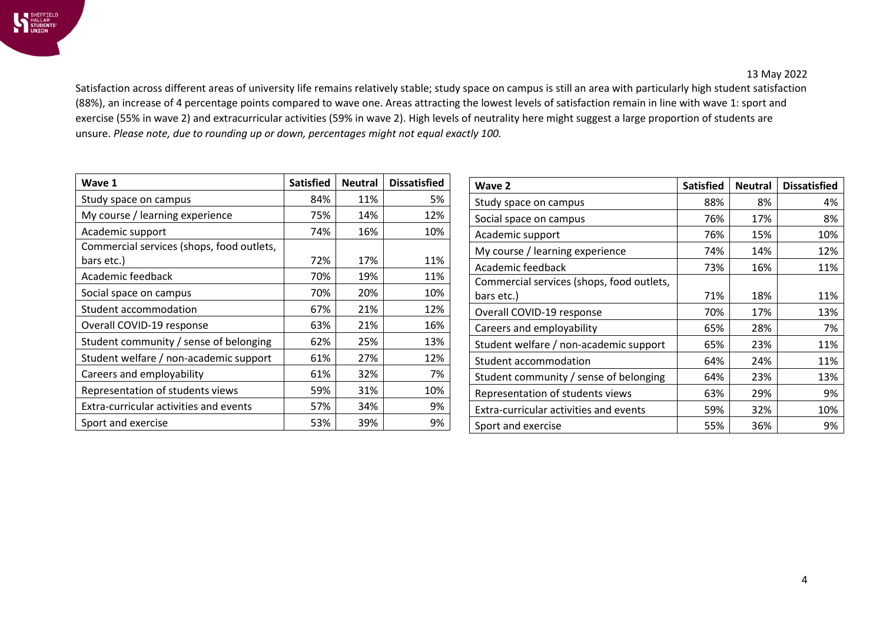Satisfaction across different areas of university life remains relatively stable; study space on campus is still an area with particularly high student satisfaction (88%), an increase of 4 percentage points compared to wave one. Areas attracting the lowest levels of satisfaction remain in line with wave 1: sport and exercise (55% in wave 2) and extracurricular activities (59% in wave 2). High levels of neutrality here might suggest a large proportion of students are unsure. *Please note, due to rounding up or down, percentages might not equal exactly 100.*

| Wave 1                                    | <b>Satisfied</b> | <b>Neutral</b> | <b>Dissatisfied</b> |
|-------------------------------------------|------------------|----------------|---------------------|
| Study space on campus                     | 84%              | 11%            | 5%                  |
| My course / learning experience           | 75%              | 14%            | 12%                 |
| Academic support                          | 74%              | 16%            | 10%                 |
| Commercial services (shops, food outlets, |                  |                |                     |
| bars etc.)                                | 72%              | 17%            | 11%                 |
| Academic feedback                         | 70%              | 19%            | 11%                 |
| Social space on campus                    | 70%              | 20%            | 10%                 |
| Student accommodation                     | 67%              | 21%            | 12%                 |
| Overall COVID-19 response                 | 63%              | 21%            | 16%                 |
| Student community / sense of belonging    | 62%              | 25%            | 13%                 |
| Student welfare / non-academic support    | 61%              | 27%            | 12%                 |
| Careers and employability                 | 61%              | 32%            | 7%                  |
| Representation of students views          | 59%              | 31%            | 10%                 |
| Extra-curricular activities and events    | 57%              | 34%            | 9%                  |
| Sport and exercise                        | 53%              | 39%            | 9%                  |

| Wave 2                                    | <b>Satisfied</b> | <b>Neutral</b> | <b>Dissatisfied</b> |
|-------------------------------------------|------------------|----------------|---------------------|
| Study space on campus                     | 88%              | 8%             | 4%                  |
| Social space on campus                    | 76%              | 17%            | 8%                  |
| Academic support                          | 76%              | 15%            | 10%                 |
| My course / learning experience           | 74%              | 14%            | 12%                 |
| Academic feedback                         | 73%              | 16%            | 11%                 |
| Commercial services (shops, food outlets, |                  |                |                     |
| bars etc.)                                | 71%              | 18%            | 11%                 |
| Overall COVID-19 response                 | 70%              | 17%            | 13%                 |
| Careers and employability                 | 65%              | 28%            | 7%                  |
| Student welfare / non-academic support    | 65%              | 23%            | 11%                 |
| Student accommodation                     | 64%              | 24%            | 11%                 |
| Student community / sense of belonging    | 64%              | 23%            | 13%                 |
| Representation of students views          | 63%              | 29%            | 9%                  |
| Extra-curricular activities and events    | 59%              | 32%            | 10%                 |
| Sport and exercise                        | 55%              | 36%            | 9%                  |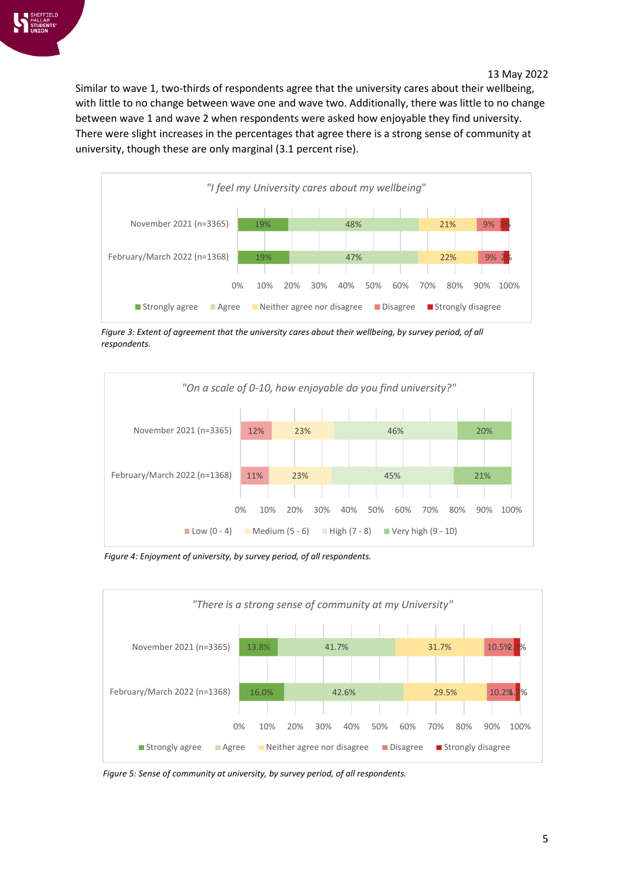Similar to wave 1, two-thirds of respondents agree that the university cares about their wellbeing, with little to no change between wave one and wave two. Additionally, there was little to no change between wave 1 and wave 2 when respondents were asked how enjoyable they find university. There were slight increases in the percentages that agree there is a strong sense of community at university, though these are only marginal (3.1 percent rise).



Figure 3: Extent of agreement that the university cares about their wellbeing, by survey period, of all *respondents.*



*Figure 4: Enjoyment of university, by survey period, of all respondents.*



*Figure 5: Sense of community at university, by survey period, of all respondents.*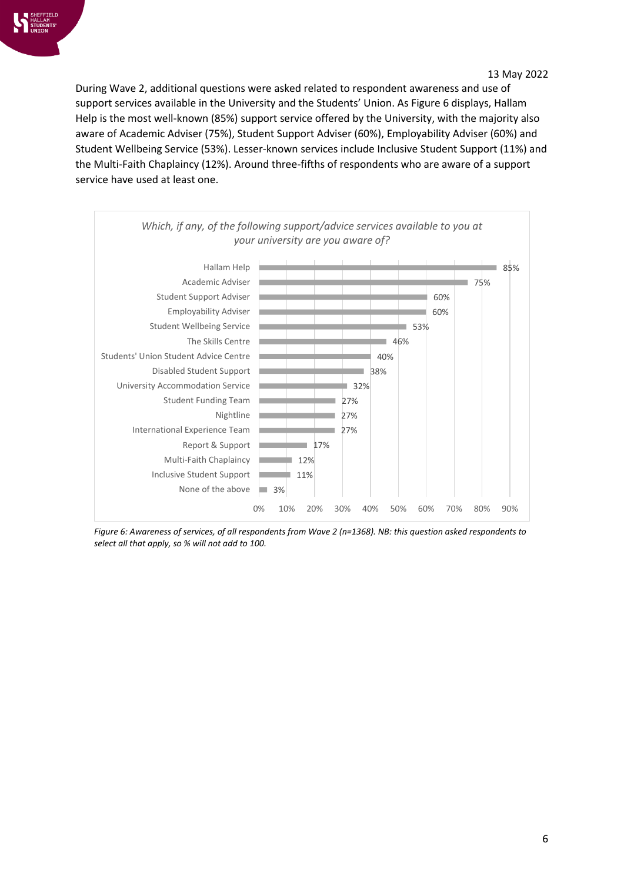During Wave 2, additional questions were asked related to respondent awareness and use of support services available in the University and the Students' Union. As [Figure 6](#page-5-0) displays, Hallam Help is the most well-known (85%) support service offered by the University, with the majority also aware of Academic Adviser (75%), Student Support Adviser (60%), Employability Adviser (60%) and Student Wellbeing Service (53%). Lesser-known services include Inclusive Student Support (11%) and the Multi-Faith Chaplaincy (12%). Around three-fifths of respondents who are aware of a support service have used at least one.



<span id="page-5-0"></span>*Figure 6: Awareness of services, of all respondents from Wave 2 (n=1368). NB: this question asked respondents to select all that apply, so % will not add to 100.*